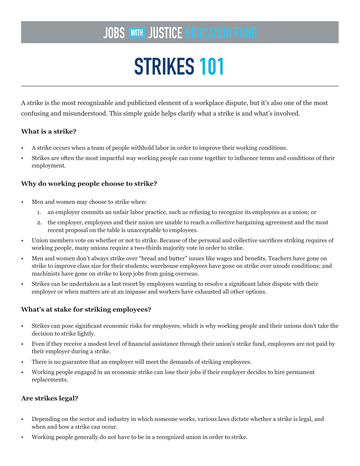## **JOBS WITH JUSTICE EDUCATION FUND**

# STRIKES 101

A strike is the most recognizable and publicized element of a workplace dispute, but it's also one of the most confusing and misunderstood. This simple guide helps clarify what a strike is and what's involved.

### **What is a strike?**

- A strike occurs when a team of people withhold labor in order to improve their working conditions.
- Strikes are often the most impactful way working people can come together to influence terms and conditions of their employment.

### **Why do working people choose to strike?**

- Men and women may choose to strike when:
	- 1. an employer commits an unfair labor practice, such as refusing to recognize its employees as a union; or
	- 2. the employer, employees and their union are unable to reach a collective bargaining agreement and the most recent proposal on the table is unacceptable to employees.
- Union members vote on whether or not to strike. Because of the personal and collective sacrifices striking requires of working people, many unions require a two-thirds majority vote in order to strike.
- Men and women don't always strike over "bread and butter" issues like wages and benefits. Teachers have gone on strike to improve class size for their students; warehouse employees have gone on strike over unsafe conditions; and machinists have gone on strike to keep jobs from going overseas.
- Strikes can be undertaken as a last resort by employees wanting to resolve a significant labor dispute with their employer or when matters are at an impasse and workers have exhausted all other options.

#### **What's at stake for striking employees?**

- Strikes can pose significant economic risks for employees, which is why working people and their unions don't take the decision to strike lightly.
- Even if they receive a modest level of financial assistance through their union's strike fund, employees are not paid by their employer during a strike.
- There is no guarantee that an employer will meet the demands of striking employees.
- Working people engaged in an economic strike can lose their jobs if their employer decides to hire permanent replacements.

#### **Are strikes legal?**

- Depending on the sector and industry in which someone works, various laws dictate whether a strike is legal, and when and how a strike can occur.
- Working people generally do not have to be in a recognized union in order to strike.